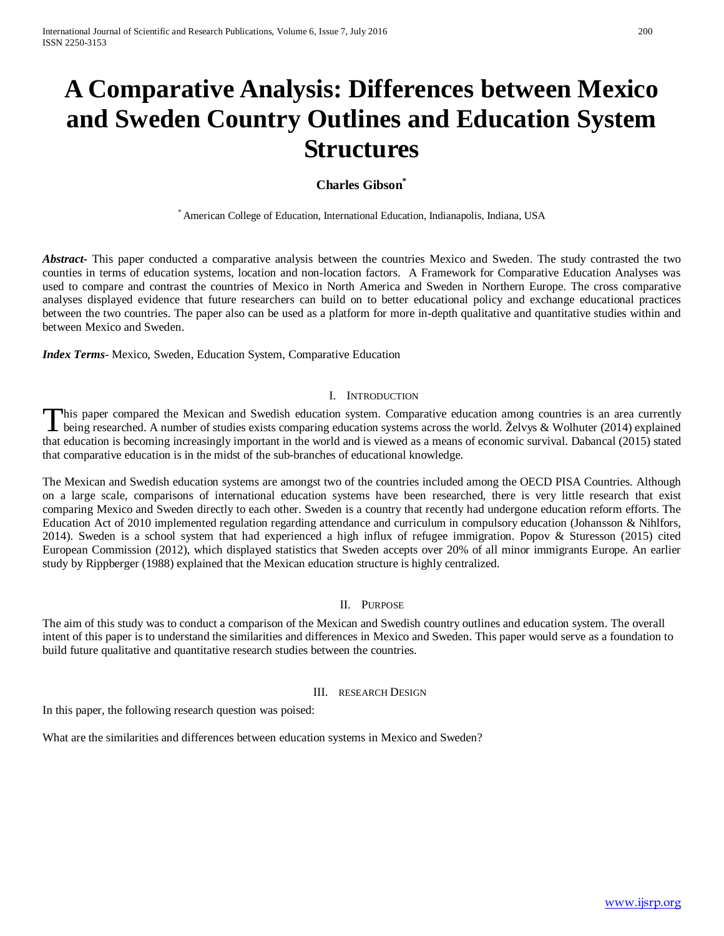# **A Comparative Analysis: Differences between Mexico and Sweden Country Outlines and Education System Structures**

# **Charles Gibson**<sup>\*</sup>

\* American College of Education, International Education, Indianapolis, Indiana, USA

*Abstract***-** This paper conducted a comparative analysis between the countries Mexico and Sweden. The study contrasted the two counties in terms of education systems, location and non-location factors. A Framework for Comparative Education Analyses was used to compare and contrast the countries of Mexico in North America and Sweden in Northern Europe. The cross comparative analyses displayed evidence that future researchers can build on to better educational policy and exchange educational practices between the two countries. The paper also can be used as a platform for more in-depth qualitative and quantitative studies within and between Mexico and Sweden.

*Index Terms*- Mexico, Sweden, Education System, Comparative Education

### I. INTRODUCTION

his paper compared the Mexican and Swedish education system. Comparative education among countries is an area currently This paper compared the Mexican and Swedish education system. Comparative education among countries is an area currently<br>being researched. A number of studies exists comparing education systems across the world. Želvys & W that education is becoming increasingly important in the world and is viewed as a means of economic survival. Dabancal (2015) stated that comparative education is in the midst of the sub-branches of educational knowledge.

The Mexican and Swedish education systems are amongst two of the countries included among the OECD PISA Countries. Although on a large scale, comparisons of international education systems have been researched, there is very little research that exist comparing Mexico and Sweden directly to each other. Sweden is a country that recently had undergone education reform efforts. The Education Act of 2010 implemented regulation regarding attendance and curriculum in compulsory education (Johansson & Nihlfors, 2014). Sweden is a school system that had experienced a high influx of refugee immigration. Popov & Sturesson (2015) cited European Commission (2012), which displayed statistics that Sweden accepts over 20% of all minor immigrants Europe. An earlier study by Rippberger (1988) explained that the Mexican education structure is highly centralized.

# II. PURPOSE

The aim of this study was to conduct a comparison of the Mexican and Swedish country outlines and education system. The overall intent of this paper is to understand the similarities and differences in Mexico and Sweden. This paper would serve as a foundation to build future qualitative and quantitative research studies between the countries.

### III. RESEARCH DESIGN

In this paper, the following research question was poised:

What are the similarities and differences between education systems in Mexico and Sweden?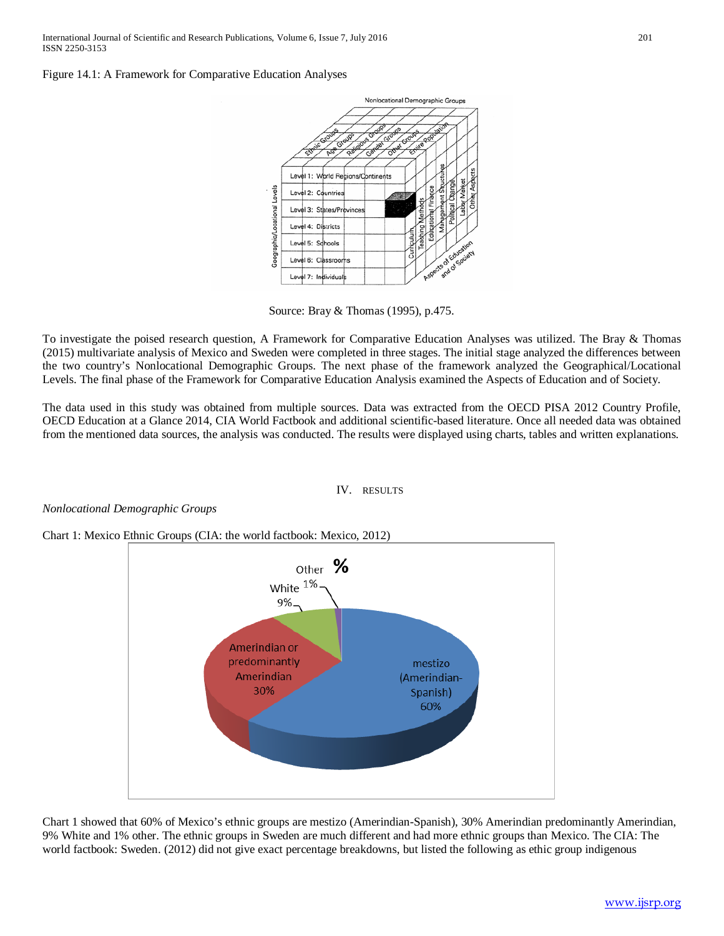Figure 14.1: A Framework for Comparative Education Analyses



Source: Bray & Thomas (1995), p.475.

To investigate the poised research question, A Framework for Comparative Education Analyses was utilized. The Bray & Thomas (2015) multivariate analysis of Mexico and Sweden were completed in three stages. The initial stage analyzed the differences between the two country's Nonlocational Demographic Groups. The next phase of the framework analyzed the Geographical/Locational Levels. The final phase of the Framework for Comparative Education Analysis examined the Aspects of Education and of Society.

The data used in this study was obtained from multiple sources. Data was extracted from the OECD PISA 2012 Country Profile, OECD Education at a Glance 2014, CIA World Factbook and additional scientific-based literature. Once all needed data was obtained from the mentioned data sources, the analysis was conducted. The results were displayed using charts, tables and written explanations.

### IV. RESULTS

# *Nonlocational Demographic Groups*

Chart 1: Mexico Ethnic Groups (CIA: the world factbook: Mexico, 2012)



Chart 1 showed that 60% of Mexico's ethnic groups are mestizo (Amerindian-Spanish), 30% Amerindian predominantly Amerindian, 9% White and 1% other. The ethnic groups in Sweden are much different and had more ethnic groups than Mexico. The CIA: The world factbook: Sweden. (2012) did not give exact percentage breakdowns, but listed the following as ethic group indigenous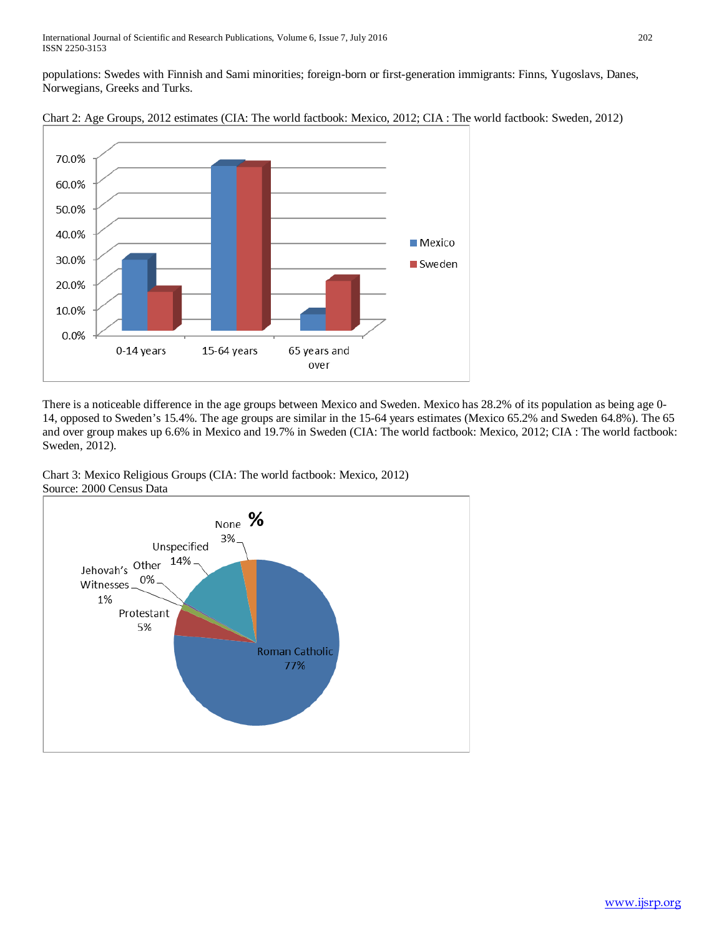populations: Swedes with Finnish and Sami minorities; foreign-born or first-generation immigrants: Finns, Yugoslavs, Danes, Norwegians, Greeks and Turks.



There is a noticeable difference in the age groups between Mexico and Sweden. Mexico has 28.2% of its population as being age 0- 14, opposed to Sweden's 15.4%. The age groups are similar in the 15-64 years estimates (Mexico 65.2% and Sweden 64.8%). The 65 and over group makes up 6.6% in Mexico and 19.7% in Sweden (CIA: The world factbook: Mexico, 2012; CIA : The world factbook: Sweden, 2012).

Chart 3: Mexico Religious Groups (CIA: The world factbook: Mexico, 2012) Source: 2000 Census Data



Chart 2: Age Groups, 2012 estimates (CIA: The world factbook: Mexico, 2012; CIA : The world factbook: Sweden, 2012)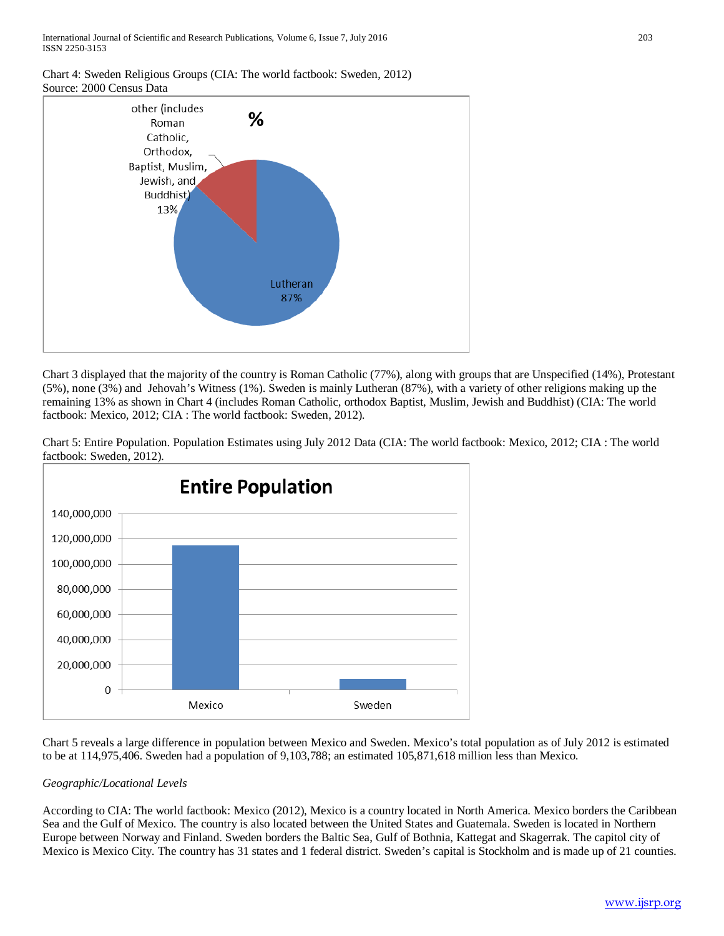# Chart 4: Sweden Religious Groups (CIA: The world factbook: Sweden, 2012) Source: 2000 Census Data



Chart 3 displayed that the majority of the country is Roman Catholic (77%), along with groups that are Unspecified (14%), Protestant (5%), none (3%) and Jehovah's Witness (1%). Sweden is mainly Lutheran (87%), with a variety of other religions making up the remaining 13% as shown in Chart 4 (includes Roman Catholic, orthodox Baptist, Muslim, Jewish and Buddhist) (CIA: The world factbook: Mexico, 2012; CIA : The world factbook: Sweden, 2012).

Chart 5: Entire Population. Population Estimates using July 2012 Data (CIA: The world factbook: Mexico, 2012; CIA : The world factbook: Sweden, 2012).



Chart 5 reveals a large difference in population between Mexico and Sweden. Mexico's total population as of July 2012 is estimated to be at 114,975,406. Sweden had a population of 9,103,788; an estimated 105,871,618 million less than Mexico.

# *Geographic/Locational Levels*

According to CIA: The world factbook: Mexico (2012), Mexico is a country located in North America. Mexico borders the Caribbean Sea and the Gulf of Mexico. The country is also located between the United States and Guatemala. Sweden is located in Northern Europe between Norway and Finland. Sweden borders the Baltic Sea, Gulf of Bothnia, Kattegat and Skagerrak. The capitol city of Mexico is Mexico City. The country has 31 states and 1 federal district. Sweden's capital is Stockholm and is made up of 21 counties.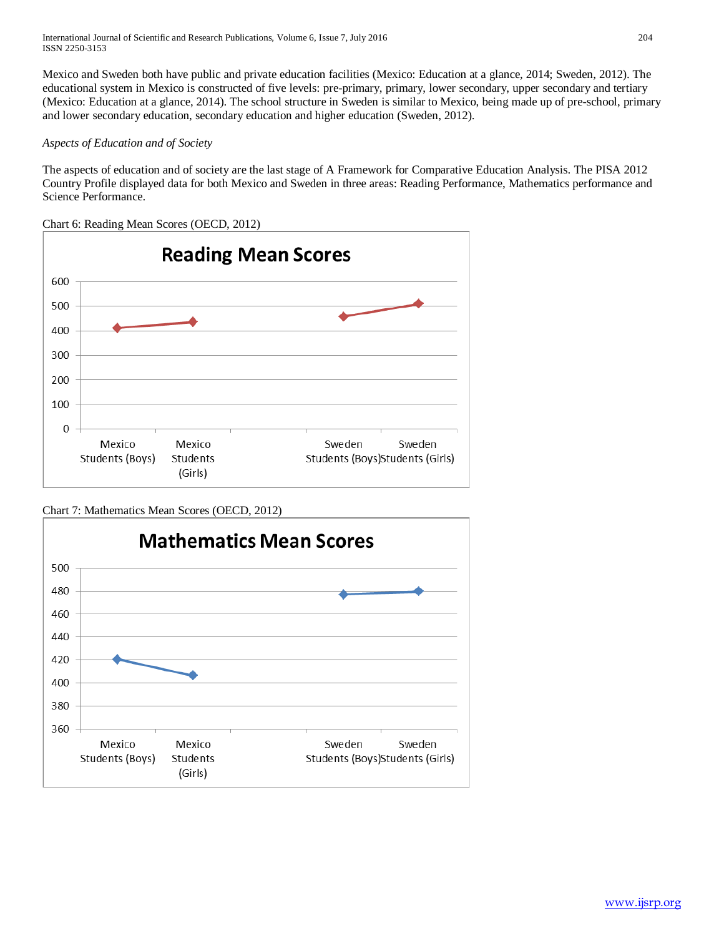Mexico and Sweden both have public and private education facilities (Mexico: Education at a glance, 2014; Sweden, 2012). The educational system in Mexico is constructed of five levels: pre-primary, primary, lower secondary, upper secondary and tertiary (Mexico: Education at a glance, 2014). The school structure in Sweden is similar to Mexico, being made up of pre-school, primary and lower secondary education, secondary education and higher education (Sweden, 2012).

# *Aspects of Education and of Society*

The aspects of education and of society are the last stage of A Framework for Comparative Education Analysis. The PISA 2012 Country Profile displayed data for both Mexico and Sweden in three areas: Reading Performance, Mathematics performance and Science Performance.

Chart 6: Reading Mean Scores (OECD, 2012)



Chart 7: Mathematics Mean Scores (OECD, 2012)

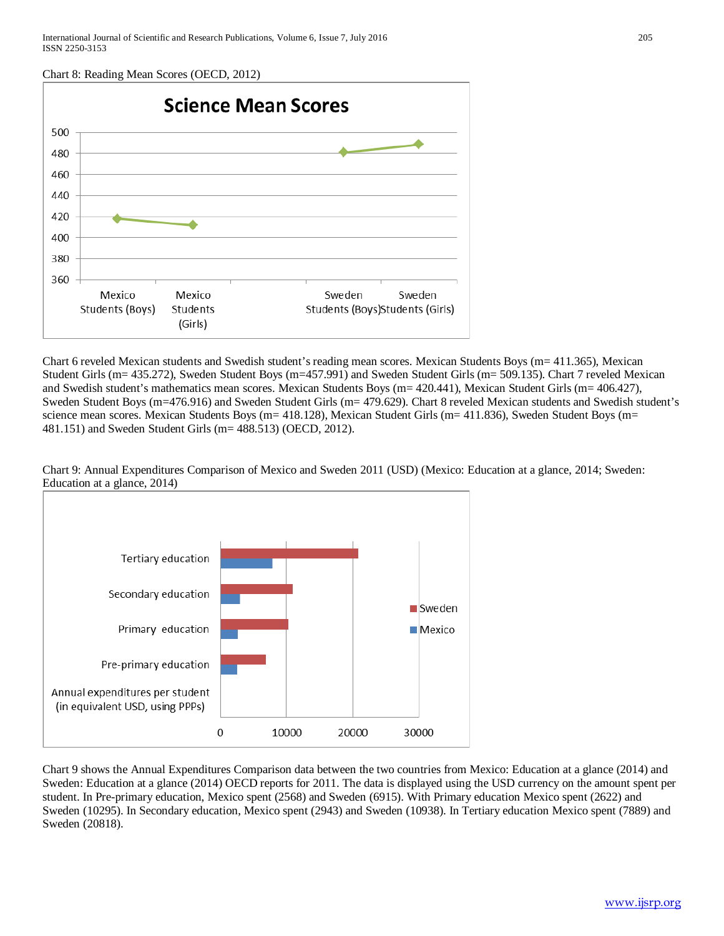Chart 8: Reading Mean Scores (OECD, 2012)



Chart 6 reveled Mexican students and Swedish student's reading mean scores. Mexican Students Boys (m= 411.365), Mexican Student Girls (m= 435.272), Sweden Student Boys (m=457.991) and Sweden Student Girls (m= 509.135). Chart 7 reveled Mexican and Swedish student's mathematics mean scores. Mexican Students Boys (m= 420.441), Mexican Student Girls (m= 406.427), Sweden Student Boys (m=476.916) and Sweden Student Girls (m= 479.629). Chart 8 reveled Mexican students and Swedish student's science mean scores. Mexican Students Boys (m= 418.128), Mexican Student Girls (m= 411.836), Sweden Student Boys (m= 481.151) and Sweden Student Girls (m= 488.513) (OECD, 2012).



Chart 9: Annual Expenditures Comparison of Mexico and Sweden 2011 (USD) (Mexico: Education at a glance, 2014; Sweden: Education at a glance, 2014)

Chart 9 shows the Annual Expenditures Comparison data between the two countries from Mexico: Education at a glance (2014) and Sweden: Education at a glance (2014) OECD reports for 2011. The data is displayed using the USD currency on the amount spent per student. In Pre-primary education, Mexico spent (2568) and Sweden (6915). With Primary education Mexico spent (2622) and Sweden (10295). In Secondary education, Mexico spent (2943) and Sweden (10938). In Tertiary education Mexico spent (7889) and Sweden (20818).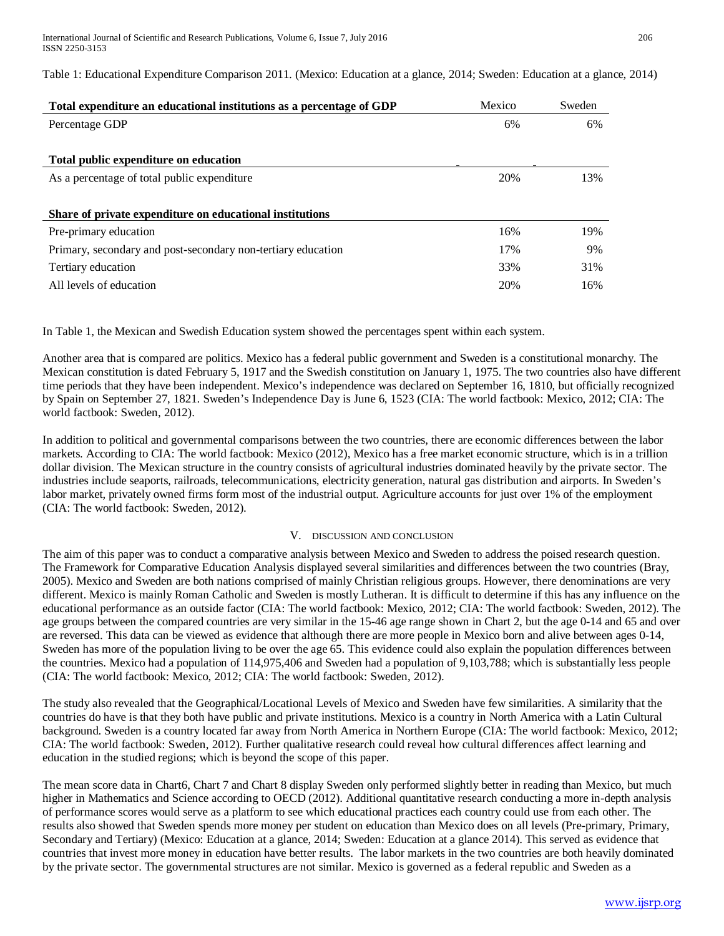Table 1: Educational Expenditure Comparison 2011. (Mexico: Education at a glance, 2014; Sweden: Education at a glance, 2014)

| Total expenditure an educational institutions as a percentage of GDP | Mexico | Sweden |
|----------------------------------------------------------------------|--------|--------|
| Percentage GDP                                                       | 6%     | 6%     |
|                                                                      |        |        |
| Total public expenditure on education                                |        |        |
| As a percentage of total public expenditure                          | 20%    | 13%    |
|                                                                      |        |        |
| Share of private expenditure on educational institutions             |        |        |
| Pre-primary education                                                | 16%    | 19%    |
| Primary, secondary and post-secondary non-tertiary education         | 17%    | 9%     |
| Tertiary education                                                   | 33%    | 31%    |
| All levels of education                                              | 20%    | 16%    |

In Table 1, the Mexican and Swedish Education system showed the percentages spent within each system.

Another area that is compared are politics. Mexico has a federal public government and Sweden is a constitutional monarchy. The Mexican constitution is dated February 5, 1917 and the Swedish constitution on January 1, 1975. The two countries also have different time periods that they have been independent. Mexico's independence was declared on September 16, 1810, but officially recognized by Spain on September 27, 1821. Sweden's Independence Day is June 6, 1523 (CIA: The world factbook: Mexico, 2012; CIA: The world factbook: Sweden, 2012).

In addition to political and governmental comparisons between the two countries, there are economic differences between the labor markets. According to CIA: The world factbook: Mexico (2012), Mexico has a free market economic structure, which is in a trillion dollar division. The Mexican structure in the country consists of agricultural industries dominated heavily by the private sector. The industries include seaports, railroads, telecommunications, electricity generation, natural gas distribution and airports. In Sweden's labor market, privately owned firms form most of the industrial output. Agriculture accounts for just over 1% of the employment (CIA: The world factbook: Sweden, 2012).

### V. DISCUSSION AND CONCLUSION

The aim of this paper was to conduct a comparative analysis between Mexico and Sweden to address the poised research question. The Framework for Comparative Education Analysis displayed several similarities and differences between the two countries (Bray, 2005). Mexico and Sweden are both nations comprised of mainly Christian religious groups. However, there denominations are very different. Mexico is mainly Roman Catholic and Sweden is mostly Lutheran. It is difficult to determine if this has any influence on the educational performance as an outside factor (CIA: The world factbook: Mexico, 2012; CIA: The world factbook: Sweden, 2012). The age groups between the compared countries are very similar in the 15-46 age range shown in Chart 2, but the age 0-14 and 65 and over are reversed. This data can be viewed as evidence that although there are more people in Mexico born and alive between ages 0-14, Sweden has more of the population living to be over the age 65. This evidence could also explain the population differences between the countries. Mexico had a population of 114,975,406 and Sweden had a population of 9,103,788; which is substantially less people (CIA: The world factbook: Mexico, 2012; CIA: The world factbook: Sweden, 2012).

The study also revealed that the Geographical/Locational Levels of Mexico and Sweden have few similarities. A similarity that the countries do have is that they both have public and private institutions. Mexico is a country in North America with a Latin Cultural background. Sweden is a country located far away from North America in Northern Europe (CIA: The world factbook: Mexico, 2012; CIA: The world factbook: Sweden, 2012). Further qualitative research could reveal how cultural differences affect learning and education in the studied regions; which is beyond the scope of this paper.

The mean score data in Chart6, Chart 7 and Chart 8 display Sweden only performed slightly better in reading than Mexico, but much higher in Mathematics and Science according to OECD (2012). Additional quantitative research conducting a more in-depth analysis of performance scores would serve as a platform to see which educational practices each country could use from each other. The results also showed that Sweden spends more money per student on education than Mexico does on all levels (Pre-primary, Primary, Secondary and Tertiary) (Mexico: Education at a glance, 2014; Sweden: Education at a glance 2014). This served as evidence that countries that invest more money in education have better results. The labor markets in the two countries are both heavily dominated by the private sector. The governmental structures are not similar. Mexico is governed as a federal republic and Sweden as a